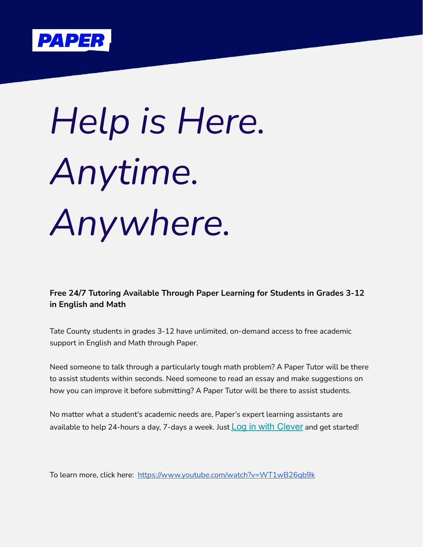

## *Help is Here. Anytime. Anywhere.*

**Free 24/7 Tutoring Available Through Paper Learning for Students in Grades 3-12 in English and Math**

Tate County students in grades 3-12 have unlimited, on-demand access to free academic support in English and Math through Paper.

Need someone to talk through a particularly tough math problem? A Paper Tutor will be there to assist students within seconds. Need someone to read an essay and make suggestions on how you can improve it before submitting? A Paper Tutor will be there to assist students.

No matter what a student's academic needs are, Paper's expert learning assistants are available to help 24-hours a day, 7-days a week. Just  $\text{Log in with } \text{Clever}$  $\text{Log in with } \text{Clever}$  $\text{Log in with } \text{Clever}$  and get started!

To learn more, click here: <https://www.youtube.com/watch?v=WT1wB26qb9k>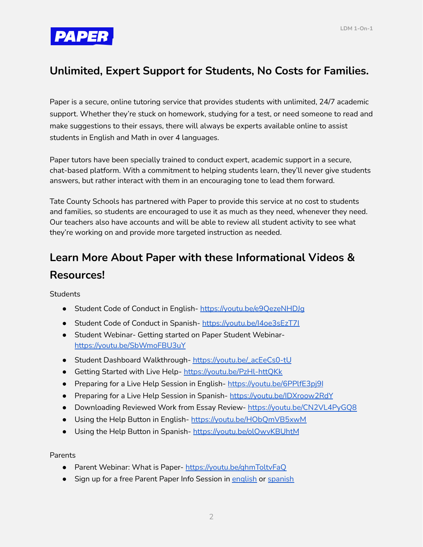

## **Unlimited, Expert Support for Students, No Costs for Families.**

Paper is a secure, online tutoring service that provides students with unlimited, 24/7 academic support. Whether they're stuck on homework, studying for a test, or need someone to read and make suggestions to their essays, there will always be experts available online to assist students in English and Math in over 4 languages.

Paper tutors have been specially trained to conduct expert, academic support in a secure, chat-based platform. With a commitment to helping students learn, they'll never give students answers, but rather interact with them in an encouraging tone to lead them forward.

Tate County Schools has partnered with Paper to provide this service at no cost to students and families, so students are encouraged to use it as much as they need, whenever they need. Our teachers also have accounts and will be able to review all student activity to see what they're working on and provide more targeted instruction as needed.

## **Learn More About Paper with these Informational Videos & Resources!**

**Students** 

- **●** Student Code of Conduct in English- <https://youtu.be/e9QezeNHDJg>
- Student Code of Conduct in Spanish- <https://youtu.be/I4oe3sEzT7I>
- **●** Student Webinar- Getting started on Paper Student Webinar<https://youtu.be/SbWmoFBU3uY>
- Student Dashboard Walkthrough-[https://youtu.be/\\_acEeCs0-tU](https://youtu.be/_acEeCs0-tU)
- Getting Started with Live Help- <https://youtu.be/PzHl-httQKk>
- Preparing for a Live Help Session in English-https://youtu.be/6PPlfE3pi9I
- Preparing for a Live Help Session in Spanish-<https://youtu.be/IDXroow2RdY>
- Downloading Reviewed Work from Essay Review- <https://youtu.be/CN2VL4PyGQ8>
- Using the Help Button in English- <https://youtu.be/HObQmVB5xwM>
- Using the Help Button in Spanish- <https://youtu.be/olOwvKBUhtM>

Parents

- Parent Webinar: What is Paper- <https://youtu.be/ghmToltvFaQ>
- Sign up for a free Parent Paper Info Session in [english](https://pages.paper.co/webinars-for-parents-and-guardians) or [spanish](https://pages.paper.co/es/presentaciones-para-padres-o-representantes)